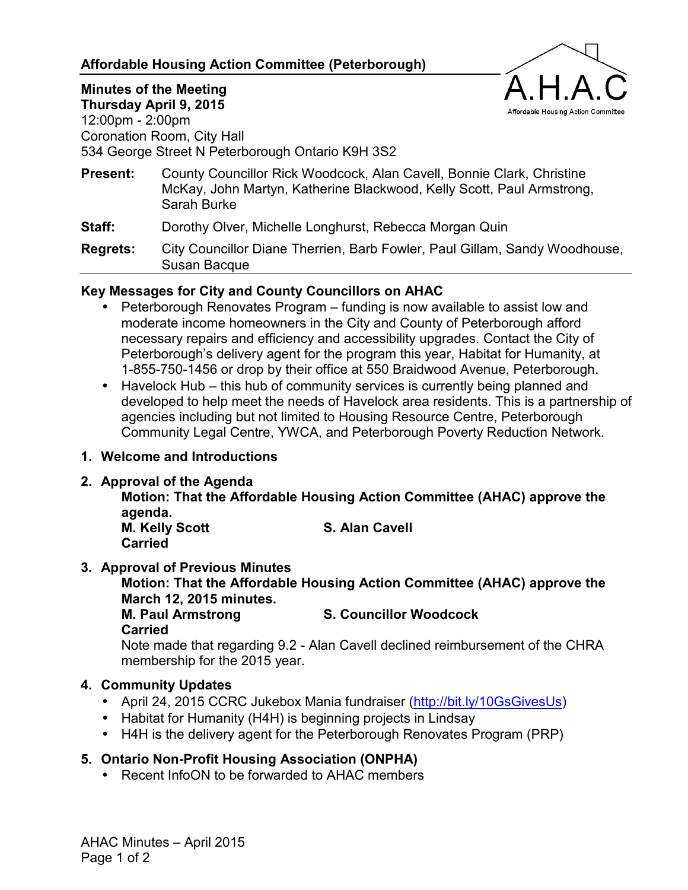## **Affordable Housing Action Committee (Peterborough)**



**Minutes of the Meeting Thursday April 9, 2015**  12:00pm - 2:00pm Coronation Room, City Hall 534 George Street N Peterborough Ontario K9H 3S2

**Present:** County Councillor Rick Woodcock, Alan Cavell, Bonnie Clark, Christine McKay, John Martyn, Katherine Blackwood, Kelly Scott, Paul Armstrong, Sarah Burke

**Staff:** Dorothy Olver, Michelle Longhurst, Rebecca Morgan Quin

**Regrets:** City Councillor Diane Therrien, Barb Fowler, Paul Gillam, Sandy Woodhouse, Susan Bacque

## **Key Messages for City and County Councillors on AHAC**

- Peterborough Renovates Program funding is now available to assist low and moderate income homeowners in the City and County of Peterborough afford necessary repairs and efficiency and accessibility upgrades. Contact the City of Peterborough's delivery agent for the program this year, Habitat for Humanity, at 1-855-750-1456 or drop by their office at 550 Braidwood Avenue, Peterborough.
- Havelock Hub this hub of community services is currently being planned and developed to help meet the needs of Havelock area residents. This is a partnership of agencies including but not limited to Housing Resource Centre, Peterborough Community Legal Centre, YWCA, and Peterborough Poverty Reduction Network.
- **1. Welcome and Introductions**
- **2. Approval of the Agenda**

**Motion: That the Affordable Housing Action Committee (AHAC) approve the agenda.** 

**M. Kelly Scott** S. Alan Cavell **Carried** 

#### **3. Approval of Previous Minutes**

**Motion: That the Affordable Housing Action Committee (AHAC) approve the March 12, 2015 minutes.** 

**M. Paul Armstrong S. Councillor Woodcock** 

**Carried** 

Note made that regarding 9.2 - Alan Cavell declined reimbursement of the CHRA membership for the 2015 year.

# **4. Community Updates**

- April 24, 2015 CCRC Jukebox Mania fundraiser [\(http://bit.ly/10GsGivesUs](http://bit.ly/10GsGivesUs))
- Habitat for Humanity (H4H) is beginning projects in Lindsay
- H4H is the delivery agent for the Peterborough Renovates Program (PRP)

# **5. Ontario Non-Profit Housing Association (ONPHA)**

• Recent InfoON to be forwarded to AHAC members